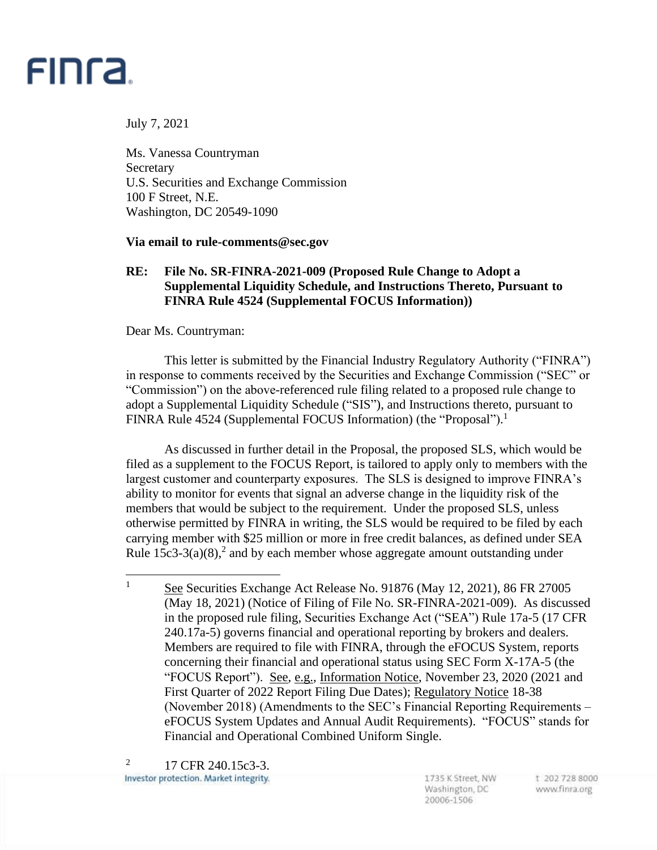

July 7, 2021

Ms. Vanessa Countryman Secretary U.S. Securities and Exchange Commission 100 F Street, N.E. Washington, DC 20549-1090

**Via email to rule-comments@sec.gov**

## **RE: File No. SR-FINRA-2021-009 (Proposed Rule Change to Adopt a Supplemental Liquidity Schedule, and Instructions Thereto, Pursuant to FINRA Rule 4524 (Supplemental FOCUS Information))**

Dear Ms. Countryman:

This letter is submitted by the Financial Industry Regulatory Authority ("FINRA") in response to comments received by the Securities and Exchange Commission ("SEC" or "Commission") on the above-referenced rule filing related to a proposed rule change to adopt a Supplemental Liquidity Schedule ("SIS"), and Instructions thereto, pursuant to FINRA Rule 4524 (Supplemental FOCUS Information) (the "Proposal").<sup>1</sup>

As discussed in further detail in the Proposal, the proposed SLS, which would be filed as a supplement to the FOCUS Report, is tailored to apply only to members with the largest customer and counterparty exposures. The SLS is designed to improve FINRA's ability to monitor for events that signal an adverse change in the liquidity risk of the members that would be subject to the requirement. Under the proposed SLS, unless otherwise permitted by FINRA in writing, the SLS would be required to be filed by each carrying member with \$25 million or more in free credit balances, as defined under SEA Rule  $15c3-3(a)(8)$ ,<sup>2</sup> and by each member whose aggregate amount outstanding under

 $\frac{1}{1}$  See Securities Exchange Act Release No. 91876 (May 12, 2021), 86 FR 27005 (May 18, 2021) (Notice of Filing of File No. SR-FINRA-2021-009). As discussed in the proposed rule filing, Securities Exchange Act ("SEA") Rule 17a-5 (17 CFR 240.17a-5) governs financial and operational reporting by brokers and dealers. Members are required to file with FINRA, through the eFOCUS System, reports concerning their financial and operational status using SEC Form X-17A-5 (the "FOCUS Report"). See, e.g., Information Notice, November 23, 2020 (2021 and First Quarter of 2022 Report Filing Due Dates); Regulatory Notice 18-38 (November 2018) (Amendments to the SEC's Financial Reporting Requirements – eFOCUS System Updates and Annual Audit Requirements). "FOCUS" stands for Financial and Operational Combined Uniform Single.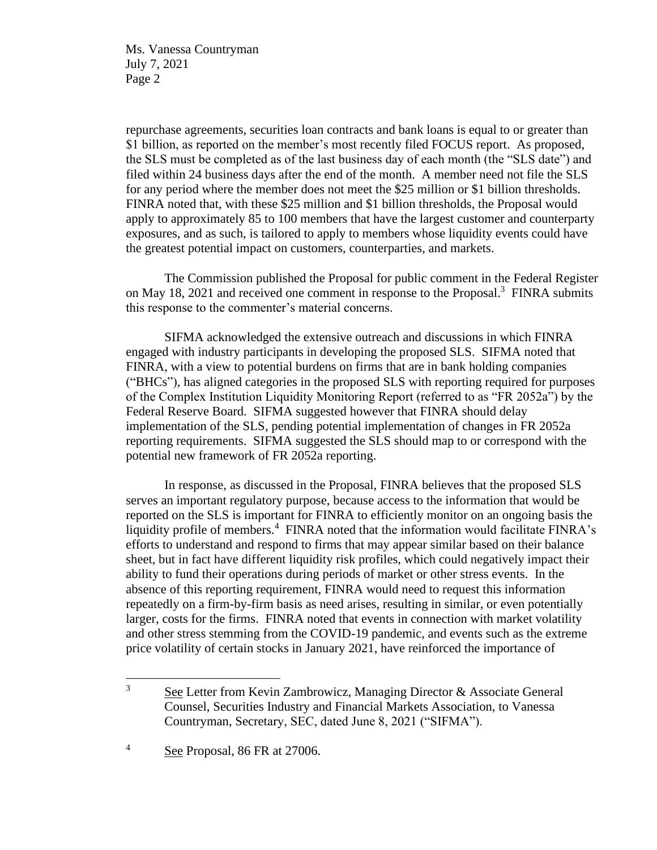Ms. Vanessa Countryman July 7, 2021 Page 2

repurchase agreements, securities loan contracts and bank loans is equal to or greater than \$1 billion, as reported on the member's most recently filed FOCUS report. As proposed, the SLS must be completed as of the last business day of each month (the "SLS date") and filed within 24 business days after the end of the month. A member need not file the SLS for any period where the member does not meet the \$25 million or \$1 billion thresholds. FINRA noted that, with these \$25 million and \$1 billion thresholds, the Proposal would apply to approximately 85 to 100 members that have the largest customer and counterparty exposures, and as such, is tailored to apply to members whose liquidity events could have the greatest potential impact on customers, counterparties, and markets.

The Commission published the Proposal for public comment in the Federal Register on May 18, 2021 and received one comment in response to the Proposal.<sup>3</sup> FINRA submits this response to the commenter's material concerns.

SIFMA acknowledged the extensive outreach and discussions in which FINRA engaged with industry participants in developing the proposed SLS. SIFMA noted that FINRA, with a view to potential burdens on firms that are in bank holding companies ("BHCs"), has aligned categories in the proposed SLS with reporting required for purposes of the Complex Institution Liquidity Monitoring Report (referred to as "FR 2052a") by the Federal Reserve Board. SIFMA suggested however that FINRA should delay implementation of the SLS, pending potential implementation of changes in FR 2052a reporting requirements. SIFMA suggested the SLS should map to or correspond with the potential new framework of FR 2052a reporting.

In response, as discussed in the Proposal, FINRA believes that the proposed SLS serves an important regulatory purpose, because access to the information that would be reported on the SLS is important for FINRA to efficiently monitor on an ongoing basis the liquidity profile of members.<sup>4</sup> FINRA noted that the information would facilitate FINRA's efforts to understand and respond to firms that may appear similar based on their balance sheet, but in fact have different liquidity risk profiles, which could negatively impact their ability to fund their operations during periods of market or other stress events. In the absence of this reporting requirement, FINRA would need to request this information repeatedly on a firm-by-firm basis as need arises, resulting in similar, or even potentially larger, costs for the firms. FINRA noted that events in connection with market volatility and other stress stemming from the COVID-19 pandemic, and events such as the extreme price volatility of certain stocks in January 2021, have reinforced the importance of

<sup>&</sup>lt;sup>3</sup> See Letter from Kevin Zambrowicz, Managing Director & Associate General Counsel, Securities Industry and Financial Markets Association, to Vanessa Countryman, Secretary, SEC, dated June 8, 2021 ("SIFMA").

<sup>4</sup> See Proposal, 86 FR at 27006.